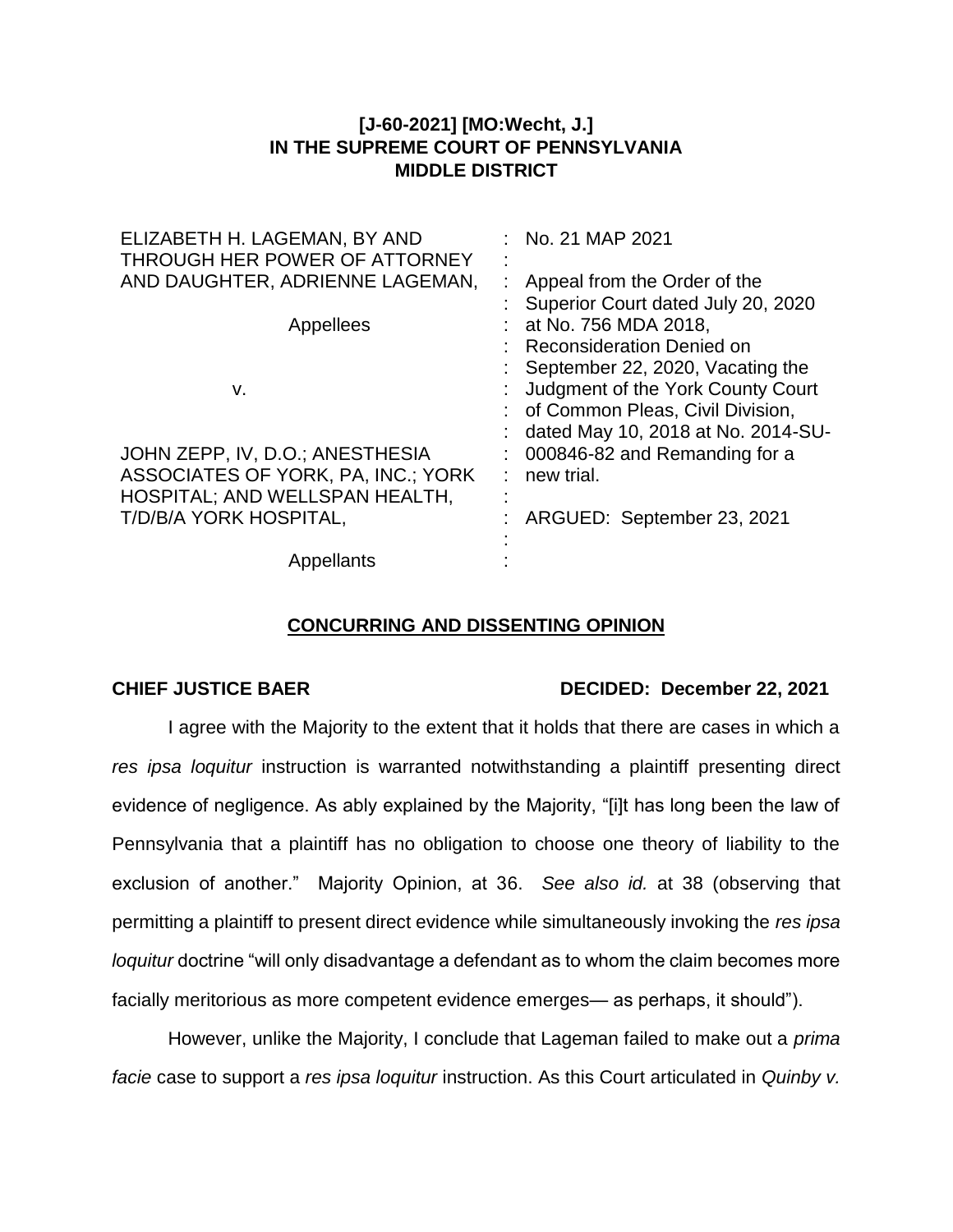## **[J-60-2021] [MO:Wecht, J.] IN THE SUPREME COURT OF PENNSYLVANIA MIDDLE DISTRICT**

| ELIZABETH H. LAGEMAN, BY AND<br>THROUGH HER POWER OF ATTORNEY | No. 21 MAP 2021                    |
|---------------------------------------------------------------|------------------------------------|
| AND DAUGHTER, ADRIENNE LAGEMAN,                               | Appeal from the Order of the       |
|                                                               | Superior Court dated July 20, 2020 |
| Appellees                                                     | at No. 756 MDA 2018,               |
|                                                               | <b>Reconsideration Denied on</b>   |
|                                                               | : September 22, 2020, Vacating the |
| v.                                                            | Judgment of the York County Court  |
|                                                               | : of Common Pleas, Civil Division, |
|                                                               | dated May 10, 2018 at No. 2014-SU- |
| JOHN ZEPP, IV, D.O.; ANESTHESIA                               | 000846-82 and Remanding for a      |
| ASSOCIATES OF YORK, PA, INC.; YORK                            | new trial.                         |
| HOSPITAL; AND WELLSPAN HEALTH,                                |                                    |
| T/D/B/A YORK HOSPITAL,                                        | ARGUED: September 23, 2021         |
|                                                               |                                    |
| Appellants                                                    |                                    |

## **CONCURRING AND DISSENTING OPINION**

## **CHIEF JUSTICE BAER DECIDED: December 22, 2021**

I agree with the Majority to the extent that it holds that there are cases in which a *res ipsa loquitur* instruction is warranted notwithstanding a plaintiff presenting direct evidence of negligence. As ably explained by the Majority, "[i]t has long been the law of Pennsylvania that a plaintiff has no obligation to choose one theory of liability to the exclusion of another." Majority Opinion, at 36. *See also id.* at 38 (observing that permitting a plaintiff to present direct evidence while simultaneously invoking the *res ipsa loquitur* doctrine "will only disadvantage a defendant as to whom the claim becomes more facially meritorious as more competent evidence emerges— as perhaps, it should").

However, unlike the Majority, I conclude that Lageman failed to make out a *prima facie* case to support a *res ipsa loquitur* instruction. As this Court articulated in *Quinby v.*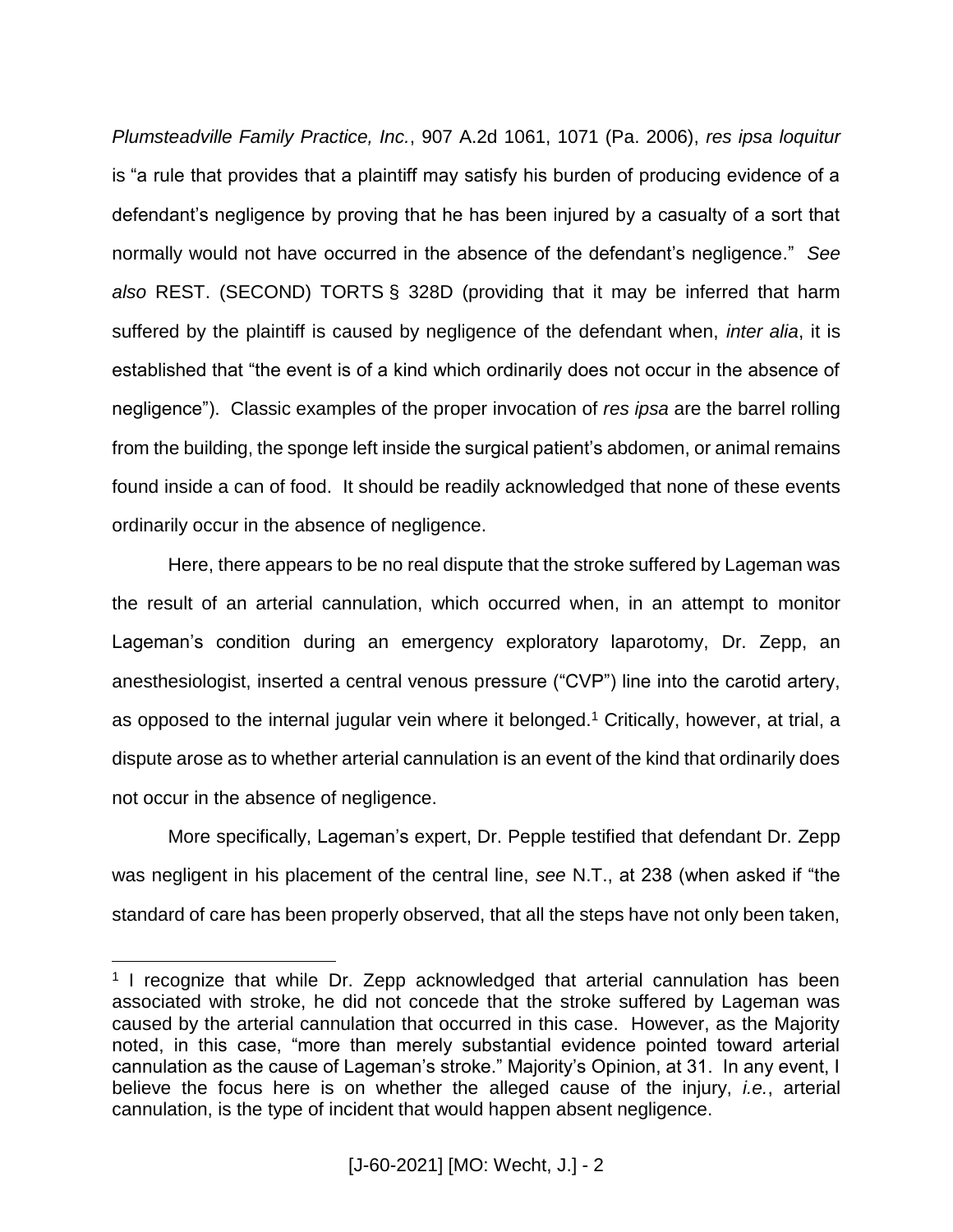*Plumsteadville Family Practice, Inc.*, 907 A.2d 1061, 1071 (Pa. 2006), *res ipsa loquitur* is "a rule that provides that a plaintiff may satisfy his burden of producing evidence of a defendant's negligence by proving that he has been injured by a casualty of a sort that normally would not have occurred in the absence of the defendant's negligence." *See also* REST. (SECOND) TORTS § 328D (providing that it may be inferred that harm suffered by the plaintiff is caused by negligence of the defendant when, *inter alia*, it is established that "the event is of a kind which ordinarily does not occur in the absence of negligence"). Classic examples of the proper invocation of *res ipsa* are the barrel rolling from the building, the sponge left inside the surgical patient's abdomen, or animal remains found inside a can of food. It should be readily acknowledged that none of these events ordinarily occur in the absence of negligence.

Here, there appears to be no real dispute that the stroke suffered by Lageman was the result of an arterial cannulation, which occurred when, in an attempt to monitor Lageman's condition during an emergency exploratory laparotomy, Dr. Zepp, an anesthesiologist, inserted a central venous pressure ("CVP") line into the carotid artery, as opposed to the internal jugular vein where it belonged.<sup>1</sup> Critically, however, at trial, a dispute arose as to whether arterial cannulation is an event of the kind that ordinarily does not occur in the absence of negligence.

More specifically, Lageman's expert, Dr. Pepple testified that defendant Dr. Zepp was negligent in his placement of the central line, *see* N.T., at 238 (when asked if "the standard of care has been properly observed, that all the steps have not only been taken,

 $\overline{a}$ 

<sup>&</sup>lt;sup>1</sup> I recognize that while Dr. Zepp acknowledged that arterial cannulation has been associated with stroke, he did not concede that the stroke suffered by Lageman was caused by the arterial cannulation that occurred in this case. However, as the Majority noted, in this case, "more than merely substantial evidence pointed toward arterial cannulation as the cause of Lageman's stroke." Majority's Opinion, at 31. In any event, I believe the focus here is on whether the alleged cause of the injury, *i.e.*, arterial cannulation, is the type of incident that would happen absent negligence.